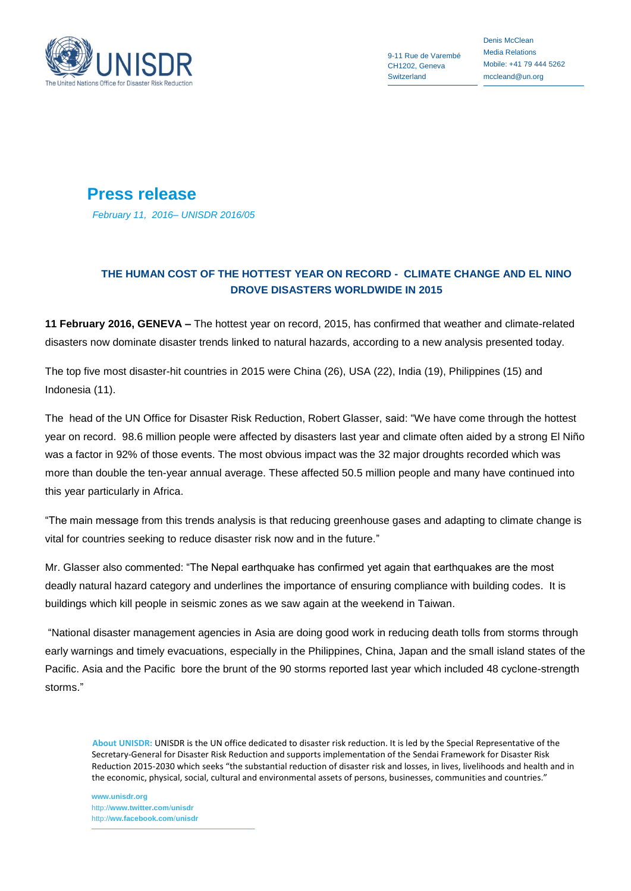

9-11 Rue de Varembé CH1202, Geneva **Switzerland** 

Denis McClean Media Relations Mobile: +41 79 444 5262 mccleand@un.org

## **Press release**

*February 11, 2016– UNISDR 2016/05*

## **THE HUMAN COST OF THE HOTTEST YEAR ON RECORD - CLIMATE CHANGE AND EL NINO DROVE DISASTERS WORLDWIDE IN 2015**

**11 February 2016, GENEVA –** The hottest year on record, 2015, has confirmed that weather and climate-related disasters now dominate disaster trends linked to natural hazards, according to a new analysis presented today.

The top five most disaster-hit countries in 2015 were China (26), USA (22), India (19), Philippines (15) and Indonesia (11).

The head of the UN Office for Disaster Risk Reduction, Robert Glasser, said: "We have come through the hottest year on record. 98.6 million people were affected by disasters last year and climate often aided by a strong El Niño was a factor in 92% of those events. The most obvious impact was the 32 major droughts recorded which was more than double the ten-year annual average. These affected 50.5 million people and many have continued into this year particularly in Africa.

"The main message from this trends analysis is that reducing greenhouse gases and adapting to climate change is vital for countries seeking to reduce disaster risk now and in the future."

Mr. Glasser also commented: "The Nepal earthquake has confirmed yet again that earthquakes are the most deadly natural hazard category and underlines the importance of ensuring compliance with building codes. It is buildings which kill people in seismic zones as we saw again at the weekend in Taiwan.

"National disaster management agencies in Asia are doing good work in reducing death tolls from storms through early warnings and timely evacuations, especially in the Philippines, China, Japan and the small island states of the Pacific. Asia and the Pacific bore the brunt of the 90 storms reported last year which included 48 cyclone-strength storms."

 **About UNISDR:** UNISDR is the UN office dedicated to disaster risk reduction. It is led by the Special Representative of the Secretary-General for Disaster Risk Reduction and supports implementation of the Sendai Framework for Disaster Risk Reduction 2015-2030 which seeks "the substantial reduction of disaster risk and losses, in lives, livelihoods and health and in the economic, physical, social, cultural and environmental assets of persons, businesses, communities and countries."

**www.unisdr.org** http://**www.twitter.com**/**unisdr** http://**ww.facebook.com**/**unisdr**